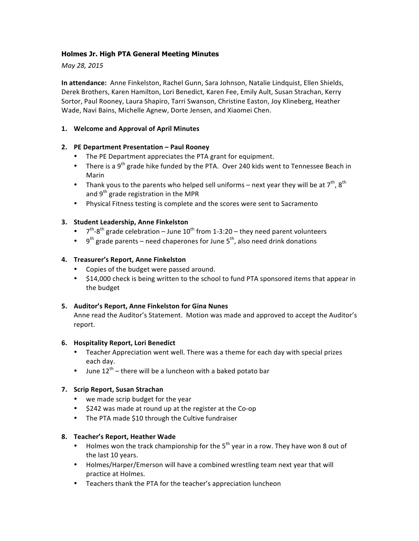## **Holmes Jr. High PTA General Meeting Minutes**

*May 28, 2015*

**In attendance:** Anne Finkelston, Rachel Gunn, Sara Johnson, Natalie Lindquist, Ellen Shields, Derek Brothers, Karen Hamilton, Lori Benedict, Karen Fee, Emily Ault, Susan Strachan, Kerry Sortor, Paul Rooney, Laura Shapiro, Tarri Swanson, Christine Easton, Joy Klineberg, Heather Wade, Navi Bains, Michelle Agnew, Dorte Jensen, and Xiaomei Chen.

## **1. Welcome and Approval of April Minutes**

## **2. PE Department Presentation – Paul Rooney**

- The PE Department appreciates the PTA grant for equipment.
- There is a 9<sup>th</sup> grade hike funded by the PTA. Over 240 kids went to Tennessee Beach in Marin
- Thank yous to the parents who helped sell uniforms next year they will be at  $7^{th}$ ,  $8^{th}$ and  $9<sup>th</sup>$  grade registration in the MPR
- Physical Fitness testing is complete and the scores were sent to Sacramento

## **3. Student Leadership, Anne Finkelston**

- $7^{th}$ -8<sup>th</sup> grade celebration June 10<sup>th</sup> from 1-3:20 they need parent volunteers
- 9<sup>th</sup> grade parents need chaperones for June  $5<sup>th</sup>$ , also need drink donations

## **4. Treasurer's Report, Anne Finkelston**

- Copies of the budget were passed around.
- \$14,000 check is being written to the school to fund PTA sponsored items that appear in the budget

#### **5.** Auditor's Report, Anne Finkelston for Gina Nunes

Anne read the Auditor's Statement. Motion was made and approved to accept the Auditor's report.

#### **6. Hospitality Report, Lori Benedict**

- Teacher Appreciation went well. There was a theme for each day with special prizes each day.
- June  $12^{th}$  there will be a luncheon with a baked potato bar

#### **7. Scrip Report, Susan Strachan**

- we made scrip budget for the year
- \$242 was made at round up at the register at the Co-op
- The PTA made \$10 through the Cultive fundraiser

#### **8. Teacher's Report, Heather Wade**

- Holmes won the track championship for the  $5<sup>th</sup>$  year in a row. They have won 8 out of the last 10 years.
- Holmes/Harper/Emerson will have a combined wrestling team next year that will practice at Holmes.
- Teachers thank the PTA for the teacher's appreciation luncheon